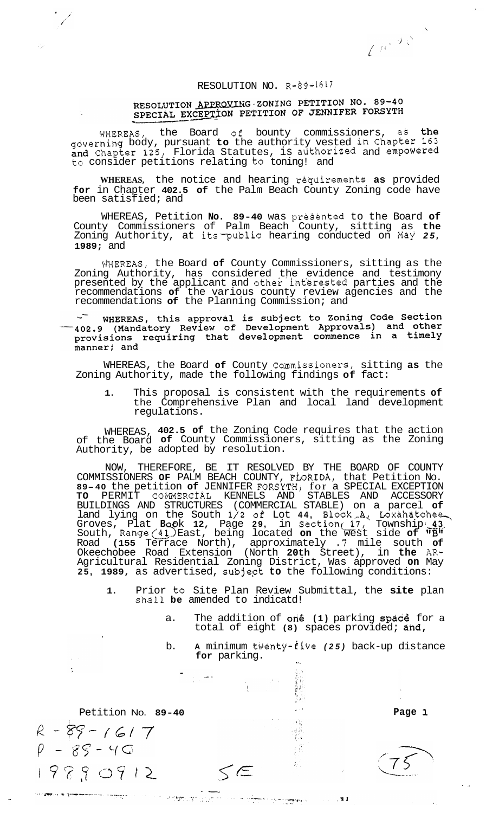$U^{(c)}$ 

## RESOLUTION NO. R-89-1617

## RESOLUTION APPROVING ZONING PETITION NO. 89-40 RESOLUTION APPROXIMG SONTNO PLITTICA NOT CRSYTH

WHEREAS, the Board **of** bounty commissioners, as the governing body, pursuant **to** the authority vested in chapter **163**  and Chapter **125,** Florida Statutes, is adthorized and empowered to consider petitions relating to toning! and

**WHEREAS,** the notice and hearing requirements **as** provided **for** in Chapter **402.5 of** the Palm Beach County Zoning code have been satisfied; and

WHEREAS, Petition **No. 89-40** was preSented to the Board **of**  County Commissioners of Palm Beach County, sitting as **the**  Zoning Authority, at its-public hearing conducted on May *25,*  **1989;** and

mEREAS, the Board **of** County Commissioners, sitting as the Zoning Authority, has considered the evidence and testimony presented by the applicant and other interested parties and the recommendations **of** the various county review agencies and the recommendations **of** the Planning Commission; and

WHEREAS, this approval is subject to Zoning Code Section<br>402.9 (Mandatory Review of Development Approvals) and other provisions requiring that development commence in a timely manner; and

WHEREAS, the Board **of** County Cammissioners, sitting **as** the Zoning Authority, made the following findings **of** fact:

**1.** This proposal is consistent with the requirements **of**  the Comprehensive Plan and local land development regulations.

WHEREAS, **402.5 of** the Zoning Code requires that the action of the Board **of** County Commissioners, sitting as the Zoning Authority, be adopted by resolution.

NOW, THEREFORE, BE IT RESOLVED BY THE BOARD OF COUNTY COMMISSIONERS OF PALM BEACH COUNTY, FLORIDA, that Petition No.<br>**89-40** the petition **of** JENNIFER FORSYTH, for a SPECIAL EXCEPTION **TO** PERMIT COMMERCIAL KENNELS AND STABLES AND ACCESSORY BUILDINGS AND STRUCTURES (COMMERCIAL STABLE) on a parcel **of**  land lying on the South *i/2* **of** Lot **44,** Block.,A., Loxahatchee, Groves, Plat Book 12, Page 29, in Section 17, Township 43<br>South, Range(41) East, being located on the west side of "B" Road **(155** Terrace North), approximately *.7* mile south **of**  Okeechobee Road Extension (North **20th** Street), in **the** AR-Agricultural Residential Zoning District, Was approved **on** May **25, 1989,** as advertised, subjept **to** the following conditions:

**1.** Prior to Site Plan Review Submittal, the **site** plan shall **be** amended to indicatd!

 $\leq$  $\in$ 

- a. The addition of one (1) parking space for a total of eight **(8)** spaces provided; and,
- b. **A** minimum twenty-five *(25)* back-up distance **for** parking. **X'** .

 $\mathbf{X}$ 

Petition No. 89-40 **Petition No. 89-40** 

 $R - 89 - 1617$  $P - 85 - 40$ 19890912

Ň

.\_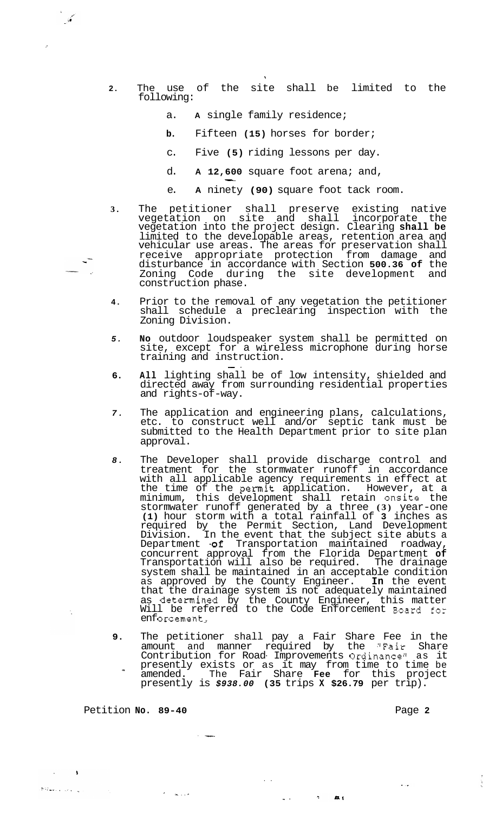- **2.** The use of the site shall be limited to the following:
	- a. **A** single family residence;
	- **b.** Fifteen **(15)** horses for border;
	- c. Five **(5)** riding lessons per day.
	- d. **A 12,600** square foot arena; and,  $-600$
	- e. **A** ninety **(90)** square foot tack room.
- **3.** The petitioner shall preserve existing native vegetation on site and shall incorporate the vegetation into the project design. Clearing **shall be**  limited to the developable areas, retention area and vehicular use areas. The areas for preservation shall receive appropriate protection from damage and disturbance in accordance with Section **500.36 of** the Zoning Code during the site development and construction phase.
- **4.** Prior to the removal of any vegetation the petitioner shall schedule a preclearing inspection with the Zoning Division.
- *5.* **No** outdoor loudspeaker system shall be permitted on site, except for a wireless microphone during horse training and instruction.<br>-
- **6. All** lighting shall be of low intensity, shielded and directed away from surrounding residential properties and rights-of-way.
- *7.* The application and engineering plans, calculations, etc. to construct well and/or septic tank must be submitted to the Health Department prior to site plan approval.
- *8.* The Developer shall provide discharge control and treatment for the stormwater runoff in accordance with all applicable agency requirements in effect at the time of the permit application. However, at a minimum, this development shall retain onsite the stormwater runoff generated by a three **(3)** year-one **(1)** hour storm with a total rainfall of **3** inches as required by the Permit Section, Land Development Division. In the event that the subject site abuts a Department **.of** Transportation maintained roadway, concurrent approval from the Florida Department **of**  Transportation will also be required. The drainage system shall be maintained in an acceptable condition as approved by the County Engineer. **In** the event that the drainage system is not adequately maintained as determined by the County Engineer, this matter Will be referred to the Code Enforcement Board for enforcement,
- **9.** The petitioner shall pay a Fair Share Fee in the amount and manner required by the "Fair Share Contribution for Road- Improvements Ordinancell as it presently exists or as it may from time to time be amended. The Fair Share **Fee** for this project presently is *\$938.00* **(35** trips **X \$26.79** per trip). -

..

**.I** .

 $\overline{z}$  and  $\overline{z}$ 

Petition **No. 89-40 Page 2 Page 2** 

ل الجائزية الياسية Samuel

 $\overline{a}$ 

' **L....** 

 $\sim$   $\sim$ 

 $\ddotsc$